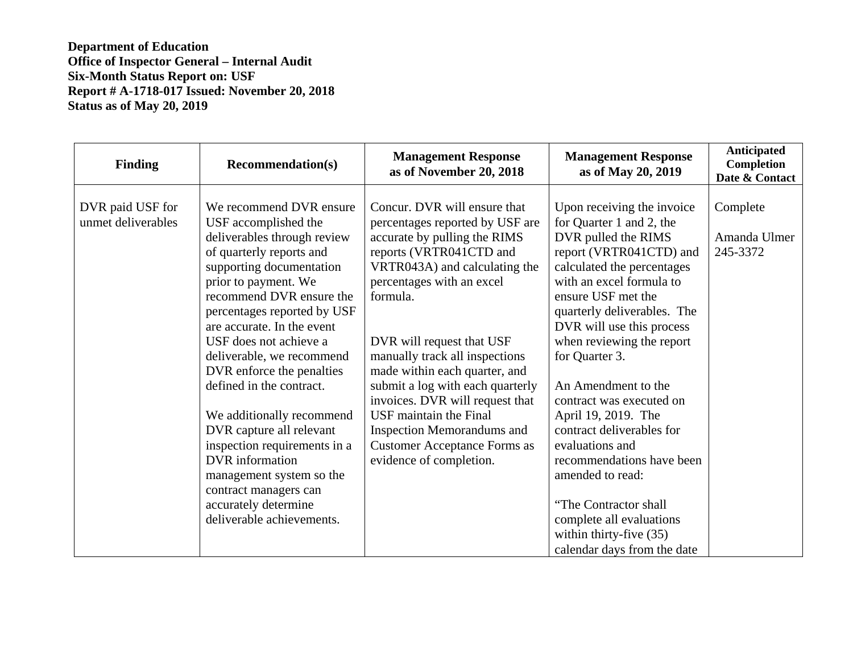| <b>Finding</b>                         | <b>Recommendation(s)</b>                                                                                                                                                                                                                                                                                                                                                                                                                                                                                                                                                                      | <b>Management Response</b><br>as of November 20, 2018                                                                                                                                                                                                                                                                                                                                                                                                                                                        | <b>Management Response</b><br>as of May 20, 2019                                                                                                                                                                                                                                                                                                                                                                                                                                                                                                                                                | Anticipated<br><b>Completion</b><br>Date & Contact |
|----------------------------------------|-----------------------------------------------------------------------------------------------------------------------------------------------------------------------------------------------------------------------------------------------------------------------------------------------------------------------------------------------------------------------------------------------------------------------------------------------------------------------------------------------------------------------------------------------------------------------------------------------|--------------------------------------------------------------------------------------------------------------------------------------------------------------------------------------------------------------------------------------------------------------------------------------------------------------------------------------------------------------------------------------------------------------------------------------------------------------------------------------------------------------|-------------------------------------------------------------------------------------------------------------------------------------------------------------------------------------------------------------------------------------------------------------------------------------------------------------------------------------------------------------------------------------------------------------------------------------------------------------------------------------------------------------------------------------------------------------------------------------------------|----------------------------------------------------|
| DVR paid USF for<br>unmet deliverables | We recommend DVR ensure<br>USF accomplished the<br>deliverables through review<br>of quarterly reports and<br>supporting documentation<br>prior to payment. We<br>recommend DVR ensure the<br>percentages reported by USF<br>are accurate. In the event<br>USF does not achieve a<br>deliverable, we recommend<br>DVR enforce the penalties<br>defined in the contract.<br>We additionally recommend<br>DVR capture all relevant<br>inspection requirements in a<br>DVR information<br>management system so the<br>contract managers can<br>accurately determine<br>deliverable achievements. | Concur. DVR will ensure that<br>percentages reported by USF are<br>accurate by pulling the RIMS<br>reports (VRTR041CTD and<br>VRTR043A) and calculating the<br>percentages with an excel<br>formula.<br>DVR will request that USF<br>manually track all inspections<br>made within each quarter, and<br>submit a log with each quarterly<br>invoices. DVR will request that<br>USF maintain the Final<br><b>Inspection Memorandums and</b><br><b>Customer Acceptance Forms as</b><br>evidence of completion. | Upon receiving the invoice<br>for Quarter 1 and 2, the<br>DVR pulled the RIMS<br>report (VRTR041CTD) and<br>calculated the percentages<br>with an excel formula to<br>ensure USF met the<br>quarterly deliverables. The<br>DVR will use this process<br>when reviewing the report<br>for Quarter 3.<br>An Amendment to the<br>contract was executed on<br>April 19, 2019. The<br>contract deliverables for<br>evaluations and<br>recommendations have been<br>amended to read:<br>"The Contractor shall<br>complete all evaluations<br>within thirty-five $(35)$<br>calendar days from the date | Complete<br>Amanda Ulmer<br>245-3372               |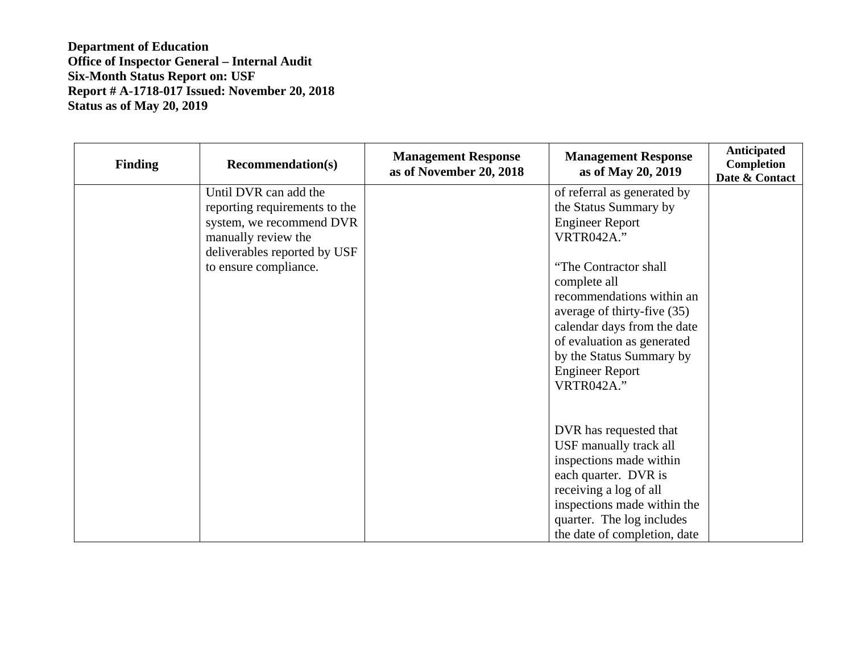| <b>Finding</b> | <b>Recommendation(s)</b>      | <b>Management Response</b><br>as of November 20, 2018 | <b>Management Response</b><br>as of May 20, 2019 | Anticipated<br>Completion<br>Date & Contact |
|----------------|-------------------------------|-------------------------------------------------------|--------------------------------------------------|---------------------------------------------|
|                | Until DVR can add the         |                                                       | of referral as generated by                      |                                             |
|                | reporting requirements to the |                                                       | the Status Summary by                            |                                             |
|                | system, we recommend DVR      |                                                       | <b>Engineer Report</b>                           |                                             |
|                | manually review the           |                                                       | <b>VRTR042A."</b>                                |                                             |
|                | deliverables reported by USF  |                                                       |                                                  |                                             |
|                | to ensure compliance.         |                                                       | "The Contractor shall"                           |                                             |
|                |                               |                                                       | complete all                                     |                                             |
|                |                               |                                                       | recommendations within an                        |                                             |
|                |                               |                                                       | average of thirty-five (35)                      |                                             |
|                |                               |                                                       | calendar days from the date                      |                                             |
|                |                               |                                                       | of evaluation as generated                       |                                             |
|                |                               |                                                       | by the Status Summary by                         |                                             |
|                |                               |                                                       | <b>Engineer Report</b>                           |                                             |
|                |                               |                                                       | <b>VRTR042A."</b>                                |                                             |
|                |                               |                                                       |                                                  |                                             |
|                |                               |                                                       |                                                  |                                             |
|                |                               |                                                       | DVR has requested that<br>USF manually track all |                                             |
|                |                               |                                                       | inspections made within                          |                                             |
|                |                               |                                                       | each quarter. DVR is                             |                                             |
|                |                               |                                                       | receiving a log of all                           |                                             |
|                |                               |                                                       | inspections made within the                      |                                             |
|                |                               |                                                       | quarter. The log includes                        |                                             |
|                |                               |                                                       | the date of completion, date                     |                                             |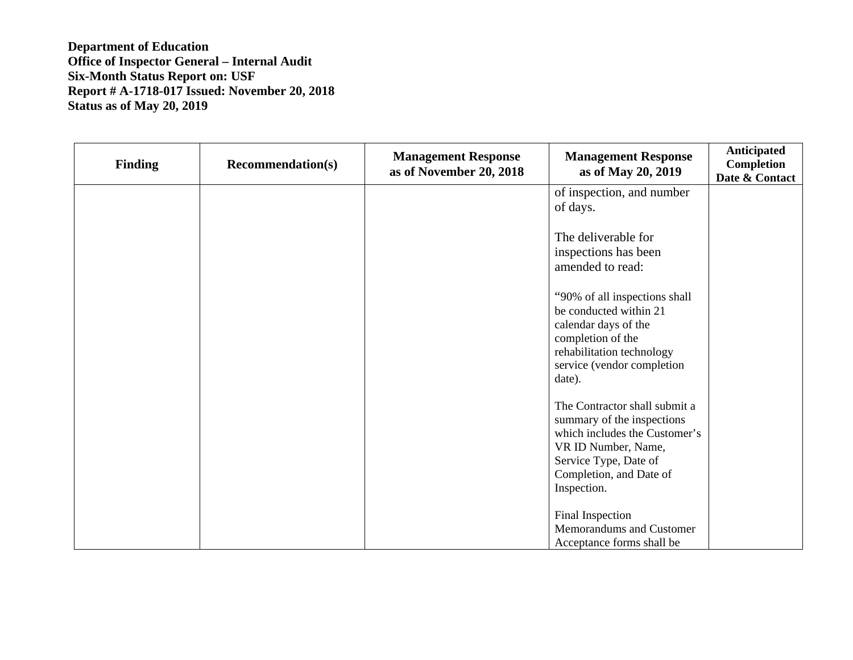| <b>Finding</b> | <b>Recommendation(s)</b> | <b>Management Response</b><br>as of November 20, 2018 | <b>Management Response</b><br>as of May 20, 2019                                                                                                                                       | Anticipated<br>Completion<br>Date & Contact |
|----------------|--------------------------|-------------------------------------------------------|----------------------------------------------------------------------------------------------------------------------------------------------------------------------------------------|---------------------------------------------|
|                |                          |                                                       | of inspection, and number<br>of days.                                                                                                                                                  |                                             |
|                |                          |                                                       | The deliverable for<br>inspections has been<br>amended to read:                                                                                                                        |                                             |
|                |                          |                                                       | "90% of all inspections shall"<br>be conducted within 21<br>calendar days of the<br>completion of the<br>rehabilitation technology<br>service (vendor completion<br>date).             |                                             |
|                |                          |                                                       | The Contractor shall submit a<br>summary of the inspections<br>which includes the Customer's<br>VR ID Number, Name,<br>Service Type, Date of<br>Completion, and Date of<br>Inspection. |                                             |
|                |                          |                                                       | Final Inspection<br>Memorandums and Customer<br>Acceptance forms shall be                                                                                                              |                                             |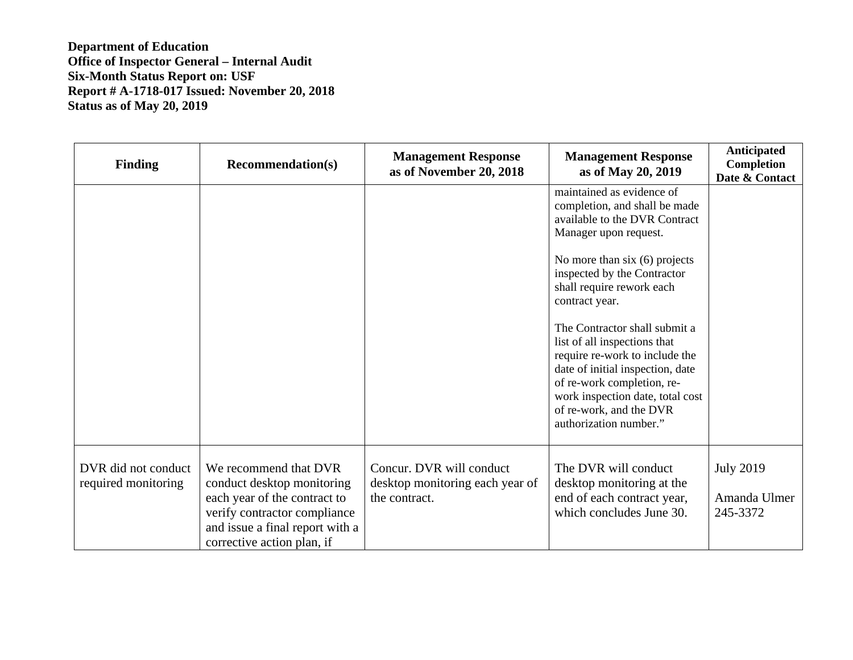| <b>Finding</b>                             | <b>Recommendation(s)</b>                                                                                                                                                             | <b>Management Response</b><br>as of November 20, 2018                        | <b>Management Response</b><br>as of May 20, 2019                                                                                                                                                                                                           | Anticipated<br>Completion<br>Date & Contact  |
|--------------------------------------------|--------------------------------------------------------------------------------------------------------------------------------------------------------------------------------------|------------------------------------------------------------------------------|------------------------------------------------------------------------------------------------------------------------------------------------------------------------------------------------------------------------------------------------------------|----------------------------------------------|
|                                            |                                                                                                                                                                                      |                                                                              | maintained as evidence of<br>completion, and shall be made<br>available to the DVR Contract<br>Manager upon request.                                                                                                                                       |                                              |
|                                            |                                                                                                                                                                                      |                                                                              | No more than $six(6)$ projects<br>inspected by the Contractor<br>shall require rework each<br>contract year.                                                                                                                                               |                                              |
|                                            |                                                                                                                                                                                      |                                                                              | The Contractor shall submit a<br>list of all inspections that<br>require re-work to include the<br>date of initial inspection, date<br>of re-work completion, re-<br>work inspection date, total cost<br>of re-work, and the DVR<br>authorization number." |                                              |
| DVR did not conduct<br>required monitoring | We recommend that DVR<br>conduct desktop monitoring<br>each year of the contract to<br>verify contractor compliance<br>and issue a final report with a<br>corrective action plan, if | Concur. DVR will conduct<br>desktop monitoring each year of<br>the contract. | The DVR will conduct<br>desktop monitoring at the<br>end of each contract year,<br>which concludes June 30.                                                                                                                                                | <b>July 2019</b><br>Amanda Ulmer<br>245-3372 |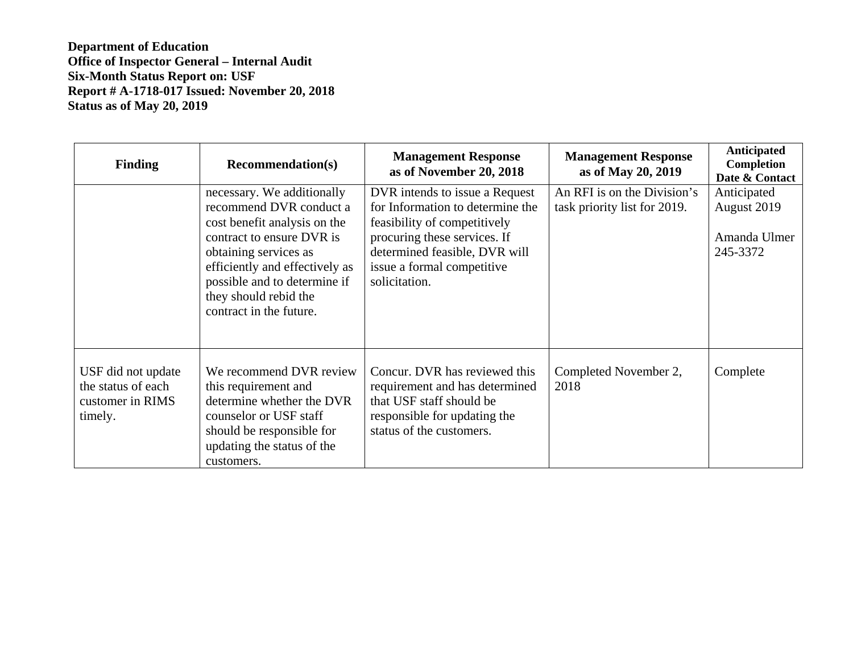| <b>Finding</b>                                                          | <b>Recommendation(s)</b>                                                                                                                                                                                                                                          | <b>Management Response</b><br>as of November 20, 2018                                                                                                                                                              | <b>Management Response</b><br>as of May 20, 2019            | Anticipated<br>Completion<br>Date & Contact            |
|-------------------------------------------------------------------------|-------------------------------------------------------------------------------------------------------------------------------------------------------------------------------------------------------------------------------------------------------------------|--------------------------------------------------------------------------------------------------------------------------------------------------------------------------------------------------------------------|-------------------------------------------------------------|--------------------------------------------------------|
|                                                                         | necessary. We additionally<br>recommend DVR conduct a<br>cost benefit analysis on the<br>contract to ensure DVR is<br>obtaining services as<br>efficiently and effectively as<br>possible and to determine if<br>they should rebid the<br>contract in the future. | DVR intends to issue a Request<br>for Information to determine the<br>feasibility of competitively<br>procuring these services. If<br>determined feasible, DVR will<br>issue a formal competitive<br>solicitation. | An RFI is on the Division's<br>task priority list for 2019. | Anticipated<br>August 2019<br>Amanda Ulmer<br>245-3372 |
| USF did not update<br>the status of each<br>customer in RIMS<br>timely. | We recommend DVR review<br>this requirement and<br>determine whether the DVR<br>counselor or USF staff<br>should be responsible for<br>updating the status of the<br>customers.                                                                                   | Concur. DVR has reviewed this<br>requirement and has determined<br>that USF staff should be<br>responsible for updating the<br>status of the customers.                                                            | Completed November 2,<br>2018                               | Complete                                               |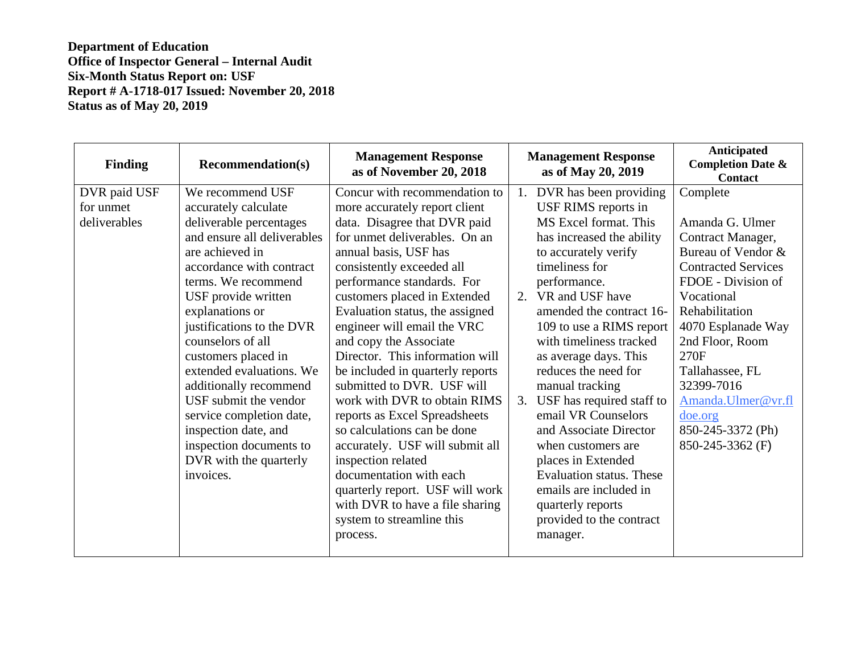| Concur with recommendation to<br>DVR paid USF<br>We recommend USF<br>1. DVR has been providing<br>for unmet<br>accurately calculate<br>more accurately report client<br>USF RIMS reports in                                                                                                                                                                                                                                                                                                                                                                                                                                                                                                                                                                                                                                                                                                                                                                                                                                                                                                                                                                                                                                                                                                                                                                                                                                                                                                                                                                                                                                                                                                                           | Complete<br>Amanda G. Ulmer                                                                                                                                                                                                                                                             |
|-----------------------------------------------------------------------------------------------------------------------------------------------------------------------------------------------------------------------------------------------------------------------------------------------------------------------------------------------------------------------------------------------------------------------------------------------------------------------------------------------------------------------------------------------------------------------------------------------------------------------------------------------------------------------------------------------------------------------------------------------------------------------------------------------------------------------------------------------------------------------------------------------------------------------------------------------------------------------------------------------------------------------------------------------------------------------------------------------------------------------------------------------------------------------------------------------------------------------------------------------------------------------------------------------------------------------------------------------------------------------------------------------------------------------------------------------------------------------------------------------------------------------------------------------------------------------------------------------------------------------------------------------------------------------------------------------------------------------|-----------------------------------------------------------------------------------------------------------------------------------------------------------------------------------------------------------------------------------------------------------------------------------------|
| MS Excel format. This<br>deliverables<br>deliverable percentages<br>data. Disagree that DVR paid<br>and ensure all deliverables<br>for unmet deliverables. On an<br>has increased the ability<br>are achieved in<br>annual basis, USF has<br>to accurately verify<br>timeliness for<br>accordance with contract<br>consistently exceeded all<br>performance standards. For<br>terms. We recommend<br>performance.<br>2. VR and USF have<br>customers placed in Extended<br>USF provide written<br>Evaluation status, the assigned<br>explanations or<br>amended the contract 16-<br>justifications to the DVR<br>engineer will email the VRC<br>109 to use a RIMS report<br>counselors of all<br>with timeliness tracked<br>and copy the Associate<br>Director. This information will<br>customers placed in<br>as average days. This<br>reduces the need for<br>extended evaluations. We<br>be included in quarterly reports<br>submitted to DVR. USF will<br>additionally recommend<br>manual tracking<br>USF submit the vendor<br>work with DVR to obtain RIMS<br>USF has required staff to<br>3.<br>email VR Counselors<br>service completion date,<br>reports as Excel Spreadsheets<br>so calculations can be done<br>inspection date, and<br>and Associate Director<br>inspection documents to<br>accurately. USF will submit all<br>when customers are.<br>DVR with the quarterly<br>inspection related<br>places in Extended<br>documentation with each<br><b>Evaluation status. These</b><br>invoices.<br>quarterly report. USF will work<br>emails are included in<br>with DVR to have a file sharing<br>quarterly reports<br>system to streamline this<br>provided to the contract<br>process.<br>manager. | Contract Manager,<br>Bureau of Vendor &<br><b>Contracted Services</b><br>FDOE - Division of<br>Vocational<br>Rehabilitation<br>4070 Esplanade Way<br>2nd Floor, Room<br>270F<br>Tallahassee, FL<br>32399-7016<br>Amanda.Ulmer@vr.fl<br>doe.org<br>850-245-3372 (Ph)<br>850-245-3362 (F) |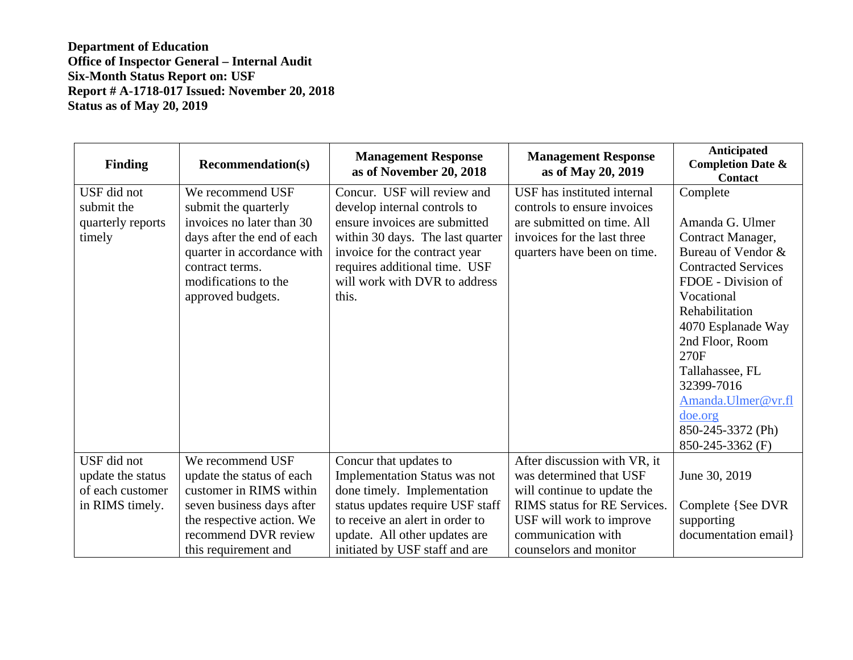| <b>Finding</b>                                                          | <b>Recommendation(s)</b>                                                                                                                                                                          | <b>Management Response</b><br>as of November 20, 2018                                                                                                                                                                                        | <b>Management Response</b><br>as of May 20, 2019                                                                                                                                                   | Anticipated<br><b>Completion Date &amp;</b><br><b>Contact</b>                                                                                                                                                                                                                                                          |
|-------------------------------------------------------------------------|---------------------------------------------------------------------------------------------------------------------------------------------------------------------------------------------------|----------------------------------------------------------------------------------------------------------------------------------------------------------------------------------------------------------------------------------------------|----------------------------------------------------------------------------------------------------------------------------------------------------------------------------------------------------|------------------------------------------------------------------------------------------------------------------------------------------------------------------------------------------------------------------------------------------------------------------------------------------------------------------------|
| USF did not<br>submit the<br>quarterly reports<br>timely                | We recommend USF<br>submit the quarterly<br>invoices no later than 30<br>days after the end of each<br>quarter in accordance with<br>contract terms.<br>modifications to the<br>approved budgets. | Concur. USF will review and<br>develop internal controls to<br>ensure invoices are submitted<br>within 30 days. The last quarter<br>invoice for the contract year<br>requires additional time. USF<br>will work with DVR to address<br>this. | USF has instituted internal<br>controls to ensure invoices<br>are submitted on time. All<br>invoices for the last three<br>quarters have been on time.                                             | Complete<br>Amanda G. Ulmer<br>Contract Manager,<br>Bureau of Vendor &<br><b>Contracted Services</b><br>FDOE - Division of<br>Vocational<br>Rehabilitation<br>4070 Esplanade Way<br>2nd Floor, Room<br>270F<br>Tallahassee, FL<br>32399-7016<br>Amanda.Ulmer@vr.fl<br>doe.org<br>850-245-3372 (Ph)<br>850-245-3362 (F) |
| USF did not<br>update the status<br>of each customer<br>in RIMS timely. | We recommend USF<br>update the status of each<br>customer in RIMS within<br>seven business days after<br>the respective action. We<br>recommend DVR review<br>this requirement and                | Concur that updates to<br><b>Implementation Status was not</b><br>done timely. Implementation<br>status updates require USF staff<br>to receive an alert in order to<br>update. All other updates are<br>initiated by USF staff and are      | After discussion with VR, it<br>was determined that USF<br>will continue to update the<br>RIMS status for RE Services.<br>USF will work to improve<br>communication with<br>counselors and monitor | June 30, 2019<br>Complete {See DVR<br>supporting<br>documentation email }                                                                                                                                                                                                                                              |